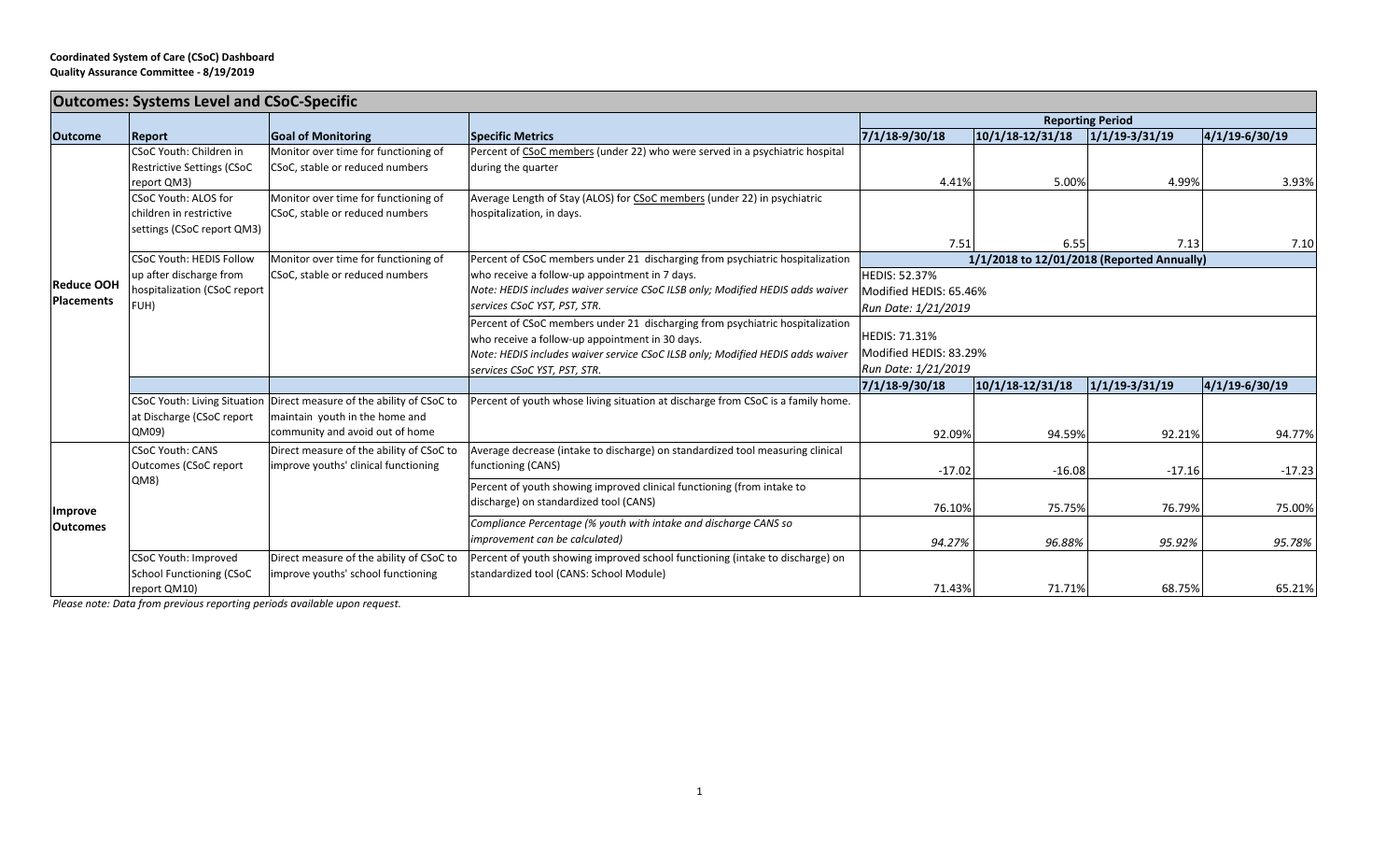## **Coordinated System of Care (CSoC) Dashboard Quality Assurance Committee ‐ 8/19/2019**

| <b>Outcomes: Systems Level and CSoC-Specific</b> |                                                         |                                                                       |                                                                                                                                  |                                                                    |                    |                    |                      |  |  |
|--------------------------------------------------|---------------------------------------------------------|-----------------------------------------------------------------------|----------------------------------------------------------------------------------------------------------------------------------|--------------------------------------------------------------------|--------------------|--------------------|----------------------|--|--|
|                                                  |                                                         |                                                                       |                                                                                                                                  | <b>Reporting Period</b>                                            |                    |                    |                      |  |  |
| <b>Outcome</b>                                   | <b>Report</b>                                           | <b>Goal of Monitoring</b>                                             | <b>Specific Metrics</b>                                                                                                          | 7/1/18-9/30/18                                                     | $10/1/18-12/31/18$ | $1/1/19 - 3/31/19$ | $ 4/1/19 - 6/30/19 $ |  |  |
| <b>Reduce OOH</b><br><b>Placements</b>           | CSoC Youth: Children in                                 | Monitor over time for functioning of                                  | Percent of CSoC members (under 22) who were served in a psychiatric hospital                                                     |                                                                    |                    |                    |                      |  |  |
|                                                  | <b>Restrictive Settings (CSoC</b>                       | CSoC, stable or reduced numbers                                       | during the quarter                                                                                                               |                                                                    |                    |                    |                      |  |  |
|                                                  | report QM3)                                             |                                                                       |                                                                                                                                  | 4.41%                                                              | 5.00%              | 4.99%              | 3.93%                |  |  |
|                                                  | <b>CSoC Youth: ALOS for</b>                             | Monitor over time for functioning of                                  | Average Length of Stay (ALOS) for CSoC members (under 22) in psychiatric                                                         |                                                                    |                    |                    |                      |  |  |
|                                                  | children in restrictive                                 | CSoC, stable or reduced numbers                                       | hospitalization, in days.                                                                                                        |                                                                    |                    |                    |                      |  |  |
|                                                  | settings (CSoC report QM3)                              |                                                                       |                                                                                                                                  |                                                                    |                    |                    |                      |  |  |
|                                                  |                                                         |                                                                       |                                                                                                                                  | 7.51<br>6.55<br>7.13<br>1/1/2018 to 12/01/2018 (Reported Annually) |                    |                    | 7.10                 |  |  |
|                                                  | <b>CSoC Youth: HEDIS Follow</b>                         | Monitor over time for functioning of                                  | Percent of CSoC members under 21 discharging from psychiatric hospitalization                                                    | <b>HEDIS: 52.37%</b>                                               |                    |                    |                      |  |  |
|                                                  | up after discharge from<br>hospitalization (CSoC report | CSoC, stable or reduced numbers                                       | who receive a follow-up appointment in 7 days.<br>Note: HEDIS includes waiver service CSoC ILSB only; Modified HEDIS adds waiver |                                                                    |                    |                    |                      |  |  |
|                                                  | FUH)                                                    |                                                                       | services CSoC YST, PST, STR.                                                                                                     | Modified HEDIS: 65.46%                                             |                    |                    |                      |  |  |
|                                                  |                                                         |                                                                       |                                                                                                                                  | Run Date: 1/21/2019                                                |                    |                    |                      |  |  |
|                                                  |                                                         |                                                                       | Percent of CSoC members under 21 discharging from psychiatric hospitalization<br>who receive a follow-up appointment in 30 days. | <b>HEDIS: 71.31%</b><br>Modified HEDIS: 83.29%                     |                    |                    |                      |  |  |
|                                                  |                                                         |                                                                       | Note: HEDIS includes waiver service CSoC ILSB only; Modified HEDIS adds waiver                                                   |                                                                    |                    |                    |                      |  |  |
|                                                  |                                                         |                                                                       | services CSoC YST, PST, STR.                                                                                                     | Run Date: 1/21/2019                                                |                    |                    |                      |  |  |
|                                                  |                                                         |                                                                       |                                                                                                                                  | 7/1/18-9/30/18                                                     | $10/1/18-12/31/18$ | $1/1/19 - 3/31/19$ | $ 4/1/19 - 6/30/19$  |  |  |
|                                                  |                                                         | CSoC Youth: Living Situation Direct measure of the ability of CSoC to | Percent of youth whose living situation at discharge from CSoC is a family home.                                                 |                                                                    |                    |                    |                      |  |  |
|                                                  | at Discharge (CSoC report                               | maintain youth in the home and                                        |                                                                                                                                  |                                                                    |                    |                    |                      |  |  |
|                                                  | QM09)                                                   | community and avoid out of home                                       |                                                                                                                                  | 92.09%                                                             | 94.59%             | 92.21%             | 94.77%               |  |  |
| Improve<br><b>Outcomes</b>                       | <b>CSoC Youth: CANS</b>                                 | Direct measure of the ability of CSoC to                              | Average decrease (intake to discharge) on standardized tool measuring clinical                                                   |                                                                    |                    |                    |                      |  |  |
|                                                  | Outcomes (CSoC report                                   | improve youths' clinical functioning                                  | functioning (CANS)                                                                                                               | $-17.02$                                                           | $-16.08$           | $-17.16$           | $-17.23$             |  |  |
|                                                  | QM8                                                     |                                                                       | Percent of youth showing improved clinical functioning (from intake to                                                           |                                                                    |                    |                    |                      |  |  |
|                                                  |                                                         |                                                                       | discharge) on standardized tool (CANS)                                                                                           |                                                                    |                    |                    |                      |  |  |
|                                                  |                                                         |                                                                       | Compliance Percentage (% youth with intake and discharge CANS so                                                                 | 76.10%                                                             | 75.75%             | 76.79%             | 75.00%               |  |  |
|                                                  |                                                         |                                                                       | improvement can be calculated)                                                                                                   |                                                                    |                    |                    |                      |  |  |
|                                                  |                                                         |                                                                       |                                                                                                                                  | 94.27%                                                             | 96.88%             | 95.92%             | 95.78%               |  |  |
|                                                  | CSoC Youth: Improved                                    | Direct measure of the ability of CSoC to                              | Percent of youth showing improved school functioning (intake to discharge) on                                                    |                                                                    |                    |                    |                      |  |  |
|                                                  | <b>School Functioning (CSoC</b>                         | improve youths' school functioning                                    | standardized tool (CANS: School Module)                                                                                          |                                                                    |                    |                    |                      |  |  |
|                                                  | report QM10)                                            |                                                                       |                                                                                                                                  | 71.43%                                                             | 71.71%             | 68.75%             | 65.21%               |  |  |

*Please note: Data from previous reporting periods available upon request.*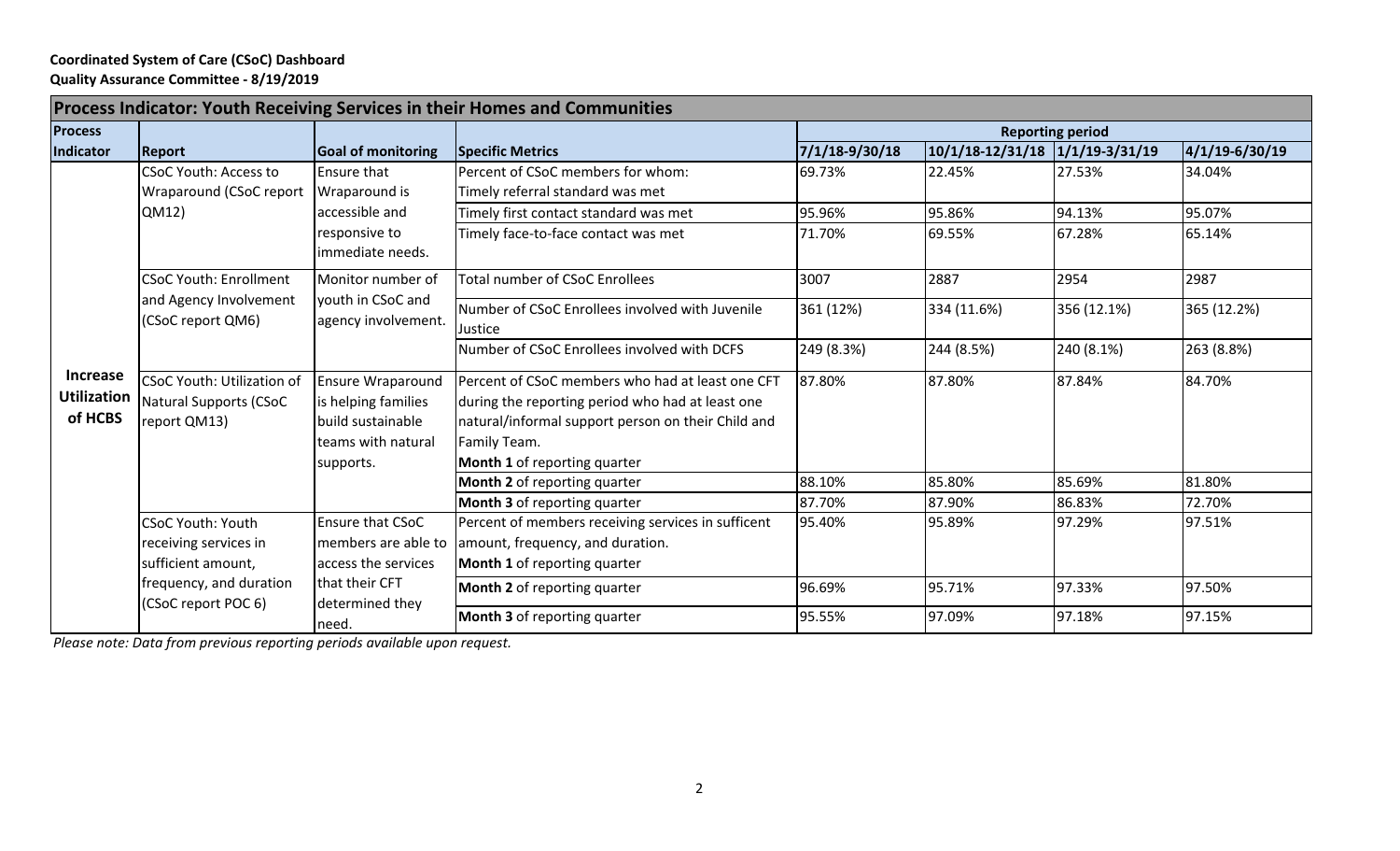## **Coordinated System of Care (CSoC) Dashboard Quality Assurance Committee ‐ 8/19/2019**

| Process Indicator: Youth Receiving Services in their Homes and Communities |                                                                                    |                                                                                                              |                                                                                                                                                                                                            |                         |                                 |             |                      |  |
|----------------------------------------------------------------------------|------------------------------------------------------------------------------------|--------------------------------------------------------------------------------------------------------------|------------------------------------------------------------------------------------------------------------------------------------------------------------------------------------------------------------|-------------------------|---------------------------------|-------------|----------------------|--|
| <b>Process</b>                                                             |                                                                                    |                                                                                                              |                                                                                                                                                                                                            | <b>Reporting period</b> |                                 |             |                      |  |
| Indicator                                                                  | <b>Report</b>                                                                      | Goal of monitoring                                                                                           | Specific Metrics                                                                                                                                                                                           | 7/1/18-9/30/18          | 10/1/18-12/31/18 1/1/19-3/31/19 |             | $ 4/1/19 - 6/30/19 $ |  |
| Increase<br><b>Utilization</b><br>of HCBS                                  | <b>CSoC Youth: Access to</b>                                                       | <b>Ensure that</b><br>Wraparound is<br>accessible and<br>responsive to<br>immediate needs.                   | Percent of CSoC members for whom:                                                                                                                                                                          | 69.73%                  | 22.45%                          | 27.53%      | 34.04%               |  |
|                                                                            | Wraparound (CSoC report                                                            |                                                                                                              | Timely referral standard was met                                                                                                                                                                           |                         |                                 |             |                      |  |
|                                                                            | QM12                                                                               |                                                                                                              | Timely first contact standard was met                                                                                                                                                                      | 95.96%                  | 95.86%                          | 94.13%      | 95.07%               |  |
|                                                                            |                                                                                    |                                                                                                              | Timely face-to-face contact was met                                                                                                                                                                        | 71.70%                  | 69.55%                          | 67.28%      | 65.14%               |  |
|                                                                            | <b>CSoC Youth: Enrollment</b><br>and Agency Involvement<br>(CSoC report QM6)       | Monitor number of<br>youth in CSoC and<br>agency involvement.                                                | <b>Total number of CSoC Enrollees</b>                                                                                                                                                                      | 3007                    | 2887                            | 2954        | 2987                 |  |
|                                                                            |                                                                                    |                                                                                                              | Number of CSoC Enrollees involved with Juvenile<br>Justice                                                                                                                                                 | 361 (12%)               | 334 (11.6%)                     | 356 (12.1%) | 365 (12.2%)          |  |
|                                                                            |                                                                                    |                                                                                                              | Number of CSoC Enrollees involved with DCFS                                                                                                                                                                | 249 (8.3%)              | 244 (8.5%)                      | 240 (8.1%)  | 263 (8.8%)           |  |
|                                                                            | <b>CSoC Youth: Utilization of</b><br><b>Natural Supports (CSoC</b><br>report QM13) | <b>Ensure Wraparound</b><br>is helping families<br>build sustainable<br>teams with natural<br>supports.      | Percent of CSoC members who had at least one CFT<br>during the reporting period who had at least one<br>natural/informal support person on their Child and<br>Family Team.<br>Month 1 of reporting quarter | 87.80%                  | 87.80%                          | 87.84%      | 84.70%               |  |
|                                                                            |                                                                                    |                                                                                                              | Month 2 of reporting quarter                                                                                                                                                                               | 88.10%                  | 85.80%                          | 85.69%      | 81.80%               |  |
|                                                                            |                                                                                    |                                                                                                              | Month 3 of reporting quarter                                                                                                                                                                               | 87.70%                  | 87.90%                          | 86.83%      | 72.70%               |  |
|                                                                            | <b>CSoC Youth: Youth</b><br>receiving services in<br>sufficient amount,            | Ensure that CSoC<br>members are able to<br>access the services<br>that their CFT<br>determined they<br>need. | Percent of members receiving services in sufficent<br>amount, frequency, and duration.<br>Month 1 of reporting quarter                                                                                     | 95.40%                  | 95.89%                          | 97.29%      | 97.51%               |  |
|                                                                            | frequency, and duration<br>(CSoC report POC 6)                                     |                                                                                                              | <b>Month 2</b> of reporting quarter                                                                                                                                                                        | 96.69%                  | 95.71%                          | 97.33%      | 97.50%               |  |
|                                                                            |                                                                                    |                                                                                                              | <b>Month 3</b> of reporting quarter                                                                                                                                                                        | 95.55%                  | 97.09%                          | 97.18%      | 97.15%               |  |

*Please note: Data from previous reporting periods available upon request.*